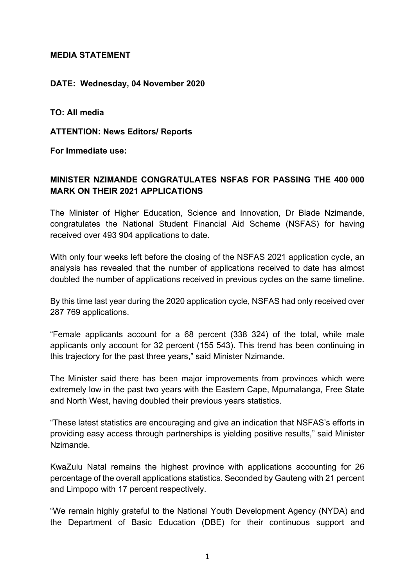## **MEDIA STATEMENT**

## **DATE: Wednesday, 04 November 2020**

**TO: All media** 

**ATTENTION: News Editors/ Reports** 

**For Immediate use:** 

## **MINISTER NZIMANDE CONGRATULATES NSFAS FOR PASSING THE 400 000 MARK ON THEIR 2021 APPLICATIONS**

The Minister of Higher Education, Science and Innovation, Dr Blade Nzimande, congratulates the National Student Financial Aid Scheme (NSFAS) for having received over 493 904 applications to date.

With only four weeks left before the closing of the NSFAS 2021 application cycle, an analysis has revealed that the number of applications received to date has almost doubled the number of applications received in previous cycles on the same timeline.

By this time last year during the 2020 application cycle, NSFAS had only received over 287 769 applications.

"Female applicants account for a 68 percent (338 324) of the total, while male applicants only account for 32 percent (155 543). This trend has been continuing in this trajectory for the past three years," said Minister Nzimande.

The Minister said there has been major improvements from provinces which were extremely low in the past two years with the Eastern Cape, Mpumalanga, Free State and North West, having doubled their previous years statistics.

"These latest statistics are encouraging and give an indication that NSFAS's efforts in providing easy access through partnerships is yielding positive results," said Minister Nzimande.

KwaZulu Natal remains the highest province with applications accounting for 26 percentage of the overall applications statistics. Seconded by Gauteng with 21 percent and Limpopo with 17 percent respectively.

"We remain highly grateful to the National Youth Development Agency (NYDA) and the Department of Basic Education (DBE) for their continuous support and